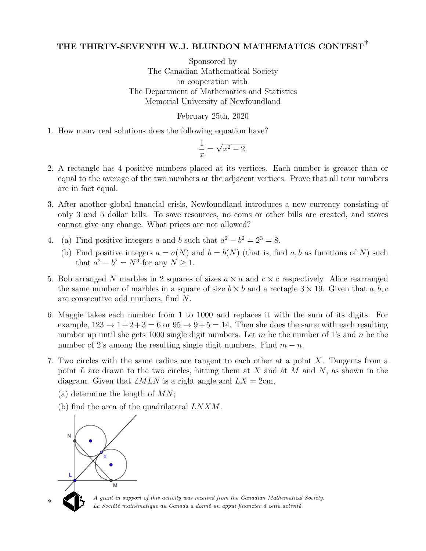## THE THIRTY-SEVENTH W.J. BLUNDON MATHEMATICS CONTEST<sup>\*</sup>

Sponsored by The Canadian Mathematical Society in cooperation with The Department of Mathematics and Statistics Memorial University of Newfoundland

## February 25th, 2020

1. How many real solutions does the following equation have?

$$
\frac{1}{x} = \sqrt{x^2 - 2}.
$$

- 2. A rectangle has 4 positive numbers placed at its vertices. Each number is greater than or equal to the average of the two numbers at the adjacent vertices. Prove that all tour numbers are in fact equal.
- 3. After another global financial crisis, Newfoundland introduces a new currency consisting of only 3 and 5 dollar bills. To save resources, no coins or other bills are created, and stores cannot give any change. What prices are not allowed?
- 4. (a) Find positive integers a and b such that  $a^2 b^2 = 2^3 = 8$ .
	- (b) Find positive integers  $a = a(N)$  and  $b = b(N)$  (that is, find a, b as functions of N) such that  $a^2 - b^2 = N^3$  for any  $N \ge 1$ .
- 5. Bob arranged N marbles in 2 squares of sizes  $a \times a$  and  $c \times c$  respectively. Alice rearranged the same number of marbles in a square of size  $b \times b$  and a rectagle  $3 \times 19$ . Given that a, b, c are consecutive odd numbers, find N.
- 6. Maggie takes each number from 1 to 1000 and replaces it with the sum of its digits. For example,  $123 \rightarrow 1+2+3=6$  or  $95 \rightarrow 9+5=14$ . Then she does the same with each resulting number up until she gets 1000 single digit numbers. Let  $m$  be the number of 1's and  $n$  be the number of 2's among the resulting single digit numbers. Find  $m - n$ .
- 7. Two circles with the same radius are tangent to each other at a point X. Tangents from a point  $L$  are drawn to the two circles, hitting them at  $X$  and at  $M$  and  $N$ , as shown in the diagram. Given that  $\angle MLN$  is a right angle and  $LX = 2cm$ ,
	- (a) determine the length of  $MN$ ;
	- (b) find the area of the quadrilateral LNXM.



♣

∗